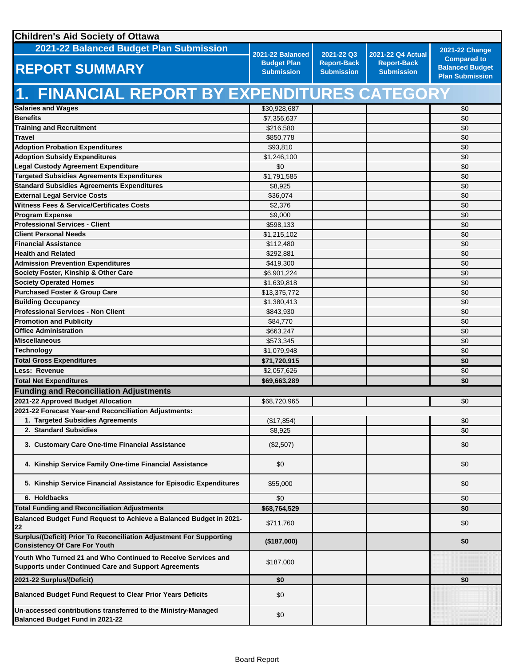| <b>Children's Aid Society of Ottawa</b>                                                                                      |                                                             |                                                       |                                                              |                                                                        |
|------------------------------------------------------------------------------------------------------------------------------|-------------------------------------------------------------|-------------------------------------------------------|--------------------------------------------------------------|------------------------------------------------------------------------|
| 2021-22 Balanced Budget Plan Submission                                                                                      |                                                             |                                                       |                                                              | <b>2021-22 Change</b>                                                  |
| <b>REPORT SUMMARY</b>                                                                                                        | 2021-22 Balanced<br><b>Budget Plan</b><br><b>Submission</b> | 2021-22 Q3<br><b>Report-Back</b><br><b>Submission</b> | 2021-22 Q4 Actual<br><b>Report-Back</b><br><b>Submission</b> | <b>Compared to</b><br><b>Balanced Budget</b><br><b>Plan Submission</b> |
| 1. FINANCIAL REPORT BY EXPENDITURES CATEGORY                                                                                 |                                                             |                                                       |                                                              |                                                                        |
| <b>Salaries and Wages</b>                                                                                                    | \$30,928,687                                                |                                                       |                                                              | \$0                                                                    |
| <b>Benefits</b>                                                                                                              | \$7,356,637                                                 |                                                       |                                                              | \$0                                                                    |
| <b>Training and Recruitment</b>                                                                                              | \$216,580                                                   |                                                       |                                                              | \$0                                                                    |
| <b>Travel</b>                                                                                                                | \$850,778                                                   |                                                       |                                                              | \$0                                                                    |
| <b>Adoption Probation Expenditures</b>                                                                                       | \$93,810                                                    |                                                       |                                                              | \$0                                                                    |
| <b>Adoption Subsidy Expenditures</b>                                                                                         | \$1,246,100                                                 |                                                       |                                                              | \$0                                                                    |
| <b>Legal Custody Agreement Expenditure</b>                                                                                   | \$0                                                         |                                                       |                                                              | \$0                                                                    |
| <b>Targeted Subsidies Agreements Expenditures</b>                                                                            | \$1,791,585                                                 |                                                       |                                                              | \$0                                                                    |
| <b>Standard Subsidies Agreements Expenditures</b>                                                                            | \$8,925                                                     |                                                       |                                                              | \$0                                                                    |
| <b>External Legal Service Costs</b>                                                                                          | \$36,074                                                    |                                                       |                                                              | \$0                                                                    |
| <b>Witness Fees &amp; Service/Certificates Costs</b>                                                                         | \$2,376                                                     |                                                       |                                                              | \$0                                                                    |
| <b>Program Expense</b>                                                                                                       | \$9,000                                                     |                                                       |                                                              | \$0                                                                    |
| <b>Professional Services - Client</b>                                                                                        | \$598,133                                                   |                                                       |                                                              | \$0                                                                    |
| <b>Client Personal Needs</b>                                                                                                 | \$1,215,102                                                 |                                                       |                                                              | \$0                                                                    |
| <b>Financial Assistance</b>                                                                                                  | \$112,480                                                   |                                                       |                                                              | \$0                                                                    |
| <b>Health and Related</b>                                                                                                    | \$292,881                                                   |                                                       |                                                              | \$0                                                                    |
| <b>Admission Prevention Expenditures</b>                                                                                     | \$419,300                                                   |                                                       |                                                              | \$0                                                                    |
| Society Foster, Kinship & Other Care                                                                                         | \$6,901,224                                                 |                                                       |                                                              | \$0                                                                    |
| <b>Society Operated Homes</b><br><b>Purchased Foster &amp; Group Care</b>                                                    | \$1,639,818                                                 |                                                       |                                                              | \$0                                                                    |
| <b>Building Occupancy</b>                                                                                                    | \$13,375,772<br>\$1,380,413                                 |                                                       |                                                              | \$0<br>\$0                                                             |
| <b>Professional Services - Non Client</b>                                                                                    | \$843,930                                                   |                                                       |                                                              | \$0                                                                    |
| <b>Promotion and Publicity</b>                                                                                               | \$84,770                                                    |                                                       |                                                              | \$0                                                                    |
| <b>Office Administration</b>                                                                                                 | \$663,247                                                   |                                                       |                                                              | \$0                                                                    |
| <b>Miscellaneous</b>                                                                                                         | \$573,345                                                   |                                                       |                                                              | \$0                                                                    |
| <b>Technology</b>                                                                                                            | \$1,079,948                                                 |                                                       |                                                              | \$0                                                                    |
| <b>Total Gross Expenditures</b>                                                                                              | \$71,720,915                                                |                                                       |                                                              | \$0                                                                    |
| Less: Revenue                                                                                                                | \$2,057,626                                                 |                                                       |                                                              | \$0                                                                    |
| <b>Total Net Expenditures</b>                                                                                                | \$69,663,289                                                |                                                       |                                                              | \$0                                                                    |
| <b>Funding and Reconciliation Adjustments</b>                                                                                |                                                             |                                                       |                                                              |                                                                        |
| 2021-22 Approved Budget Allocation                                                                                           | \$68,720,965                                                |                                                       |                                                              | \$0                                                                    |
| 2021-22 Forecast Year-end Reconciliation Adjustments:                                                                        |                                                             |                                                       |                                                              |                                                                        |
| 1. Targeted Subsidies Agreements                                                                                             | (\$17,854)                                                  |                                                       |                                                              | \$0                                                                    |
| 2. Standard Subsidies                                                                                                        | \$8,925                                                     |                                                       |                                                              | \$0                                                                    |
| 3. Customary Care One-time Financial Assistance                                                                              | (\$2,507)                                                   |                                                       |                                                              | \$0                                                                    |
| 4. Kinship Service Family One-time Financial Assistance                                                                      | \$0                                                         |                                                       |                                                              | \$0                                                                    |
| 5. Kinship Service Financial Assistance for Episodic Expenditures                                                            | \$55,000                                                    |                                                       |                                                              | \$0                                                                    |
| 6. Holdbacks                                                                                                                 | \$0                                                         |                                                       |                                                              | \$0                                                                    |
| <b>Total Funding and Reconciliation Adjustments</b>                                                                          | \$68,764,529                                                |                                                       |                                                              | \$0                                                                    |
| Balanced Budget Fund Request to Achieve a Balanced Budget in 2021-<br>22                                                     | \$711,760                                                   |                                                       |                                                              | \$0                                                                    |
| <b>Surplus/(Deficit) Prior To Reconciliation Adjustment For Supporting</b><br><b>Consistency Of Care For Youth</b>           | (\$187,000)                                                 |                                                       |                                                              | \$0                                                                    |
| Youth Who Turned 21 and Who Continued to Receive Services and<br><b>Supports under Continued Care and Support Agreements</b> | \$187,000                                                   |                                                       |                                                              |                                                                        |
| 2021-22 Surplus/(Deficit)                                                                                                    | \$0                                                         |                                                       |                                                              | \$0                                                                    |
| <b>Balanced Budget Fund Request to Clear Prior Years Deficits</b>                                                            | \$0                                                         |                                                       |                                                              |                                                                        |
| Un-accessed contributions transferred to the Ministry-Managed<br><b>Balanced Budget Fund in 2021-22</b>                      | \$0                                                         |                                                       |                                                              |                                                                        |
|                                                                                                                              |                                                             |                                                       |                                                              |                                                                        |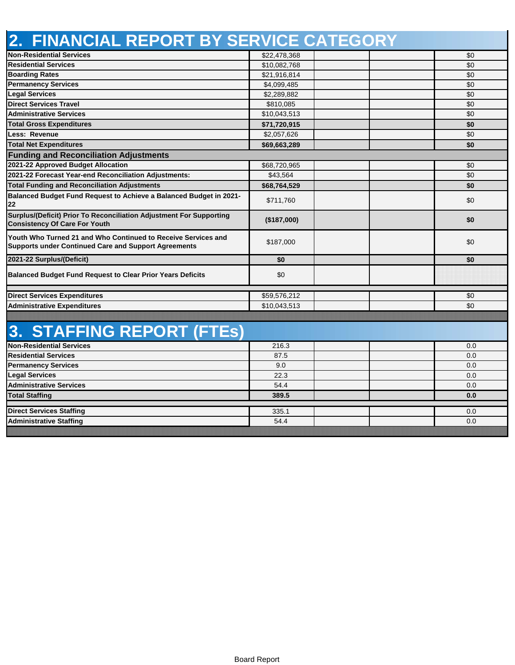| 2. FINANCIAL REPORT BY SERVICE CATEGORY                                                                                      |              |     |
|------------------------------------------------------------------------------------------------------------------------------|--------------|-----|
| <b>Non-Residential Services</b>                                                                                              | \$22,478,368 | \$0 |
| <b>Residential Services</b>                                                                                                  | \$10,082,768 | \$0 |
| <b>Boarding Rates</b>                                                                                                        | \$21,916,814 | \$0 |
| <b>Permanency Services</b>                                                                                                   | \$4,099,485  | \$0 |
| <b>Legal Services</b>                                                                                                        | \$2,289,882  | \$0 |
| <b>Direct Services Travel</b>                                                                                                | \$810,085    | \$0 |
| <b>Administrative Services</b>                                                                                               | \$10,043,513 | \$0 |
| <b>Total Gross Expenditures</b>                                                                                              | \$71,720,915 | \$0 |
| Less: Revenue                                                                                                                | \$2,057,626  | \$0 |
| <b>Total Net Expenditures</b>                                                                                                | \$69,663,289 | \$0 |
| <b>Funding and Reconciliation Adjustments</b>                                                                                |              |     |
| 2021-22 Approved Budget Allocation                                                                                           | \$68,720,965 | \$0 |
| 2021-22 Forecast Year-end Reconciliation Adjustments:                                                                        | \$43,564     | \$0 |
| <b>Total Funding and Reconciliation Adjustments</b>                                                                          | \$68,764,529 | \$0 |
| Balanced Budget Fund Request to Achieve a Balanced Budget in 2021-<br>22                                                     | \$711,760    | \$0 |
| Surplus/(Deficit) Prior To Reconciliation Adjustment For Supporting<br><b>Consistency Of Care For Youth</b>                  | (\$187,000)  | \$0 |
| Youth Who Turned 21 and Who Continued to Receive Services and<br><b>Supports under Continued Care and Support Agreements</b> | \$187,000    | \$0 |
| 2021-22 Surplus/(Deficit)                                                                                                    | \$0          | \$0 |
| <b>Balanced Budget Fund Request to Clear Prior Years Deficits</b>                                                            | \$0          |     |
| <b>Direct Services Expenditures</b>                                                                                          | \$59,576,212 | \$0 |
| <b>Administrative Expenditures</b>                                                                                           | \$10,043,513 | \$0 |
|                                                                                                                              |              |     |
| <b>3. STAFFING REPORT (FTEs)</b>                                                                                             |              |     |
| <b>Non-Residential Services</b>                                                                                              | 216.3        | 0.0 |
| <b>Residential Services</b>                                                                                                  | 87.5         | 0.0 |
| <b>Permanency Services</b>                                                                                                   | 9.0          | 0.0 |
| <b>Legal Services</b>                                                                                                        | 22.3         | 0.0 |
| <b>Administrative Services</b>                                                                                               | 54.4         | 0.0 |
| <b>Total Staffing</b>                                                                                                        | 389.5        | 0.0 |
|                                                                                                                              |              |     |
| <b>Direct Services Staffing</b>                                                                                              | 335.1        | 0.0 |
| <b>Administrative Staffing</b>                                                                                               | 54.4         | 0.0 |